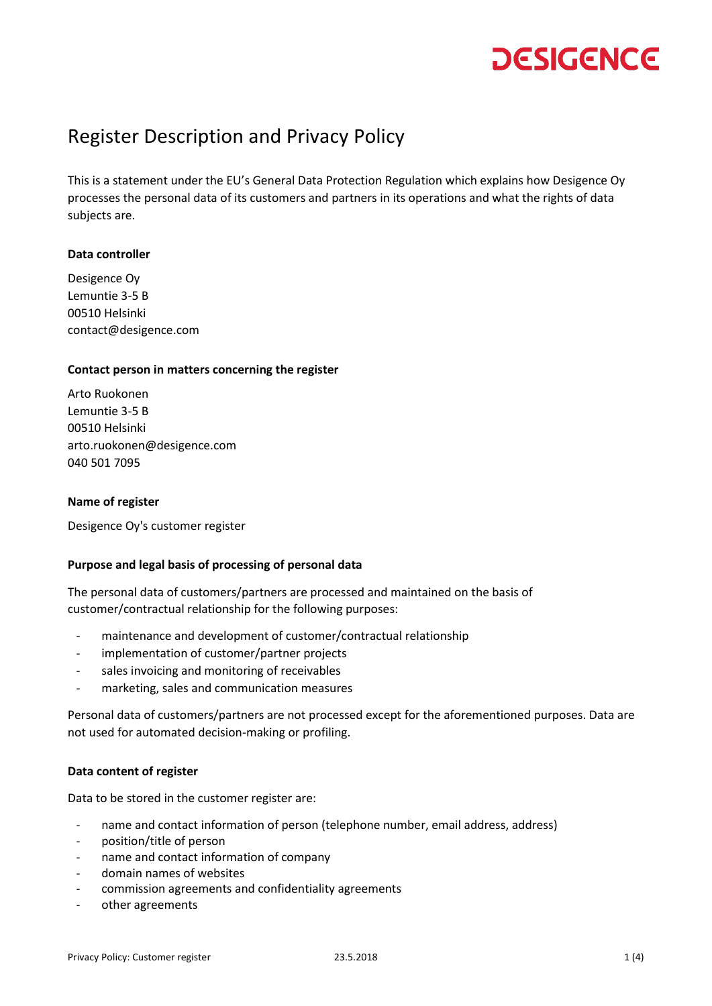### Register Description and Privacy Policy

This is a statement under the EU's General Data Protection Regulation which explains how Desigence Oy processes the personal data of its customers and partners in its operations and what the rights of data subjects are.

### **Data controller**

Desigence Oy Lemuntie 3-5 B 00510 Helsinki contact@desigence.com

### **Contact person in matters concerning the register**

Arto Ruokonen Lemuntie 3-5 B 00510 Helsinki arto.ruokonen@desigence.com 040 501 7095

### **Name of register**

Desigence Oy's customer register

### **Purpose and legal basis of processing of personal data**

The personal data of customers/partners are processed and maintained on the basis of customer/contractual relationship for the following purposes:

- maintenance and development of customer/contractual relationship
- implementation of customer/partner projects
- sales invoicing and monitoring of receivables
- marketing, sales and communication measures

Personal data of customers/partners are not processed except for the aforementioned purposes. Data are not used for automated decision-making or profiling.

### **Data content of register**

Data to be stored in the customer register are:

- name and contact information of person (telephone number, email address, address)
- position/title of person
- name and contact information of company
- domain names of websites
- commission agreements and confidentiality agreements
- other agreements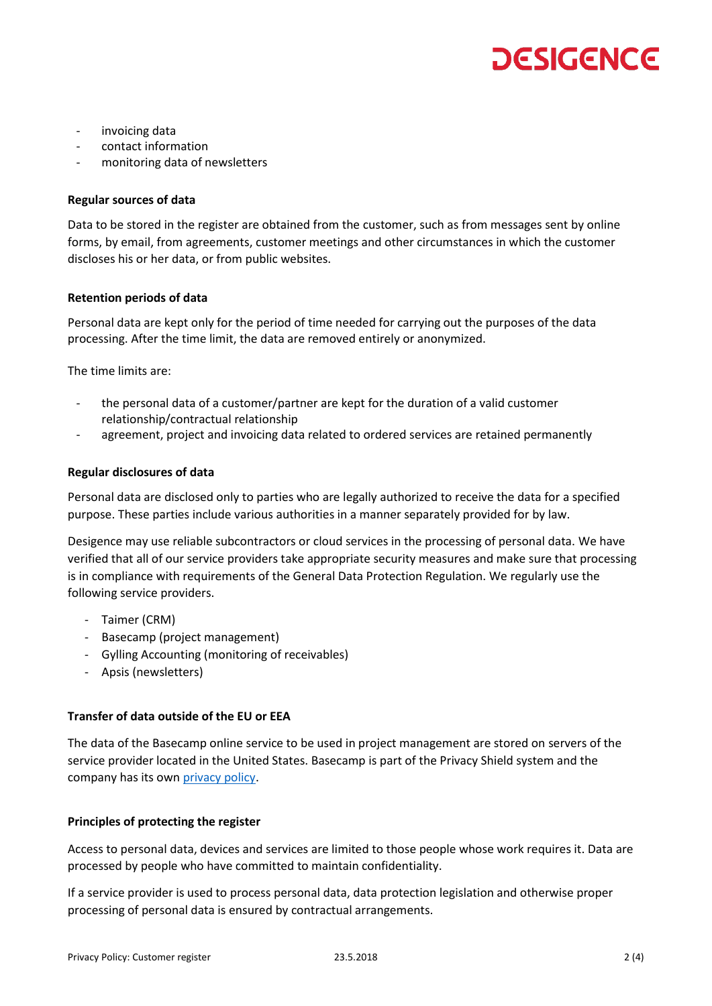- invoicing data
- contact information
- monitoring data of newsletters

#### **Regular sources of data**

Data to be stored in the register are obtained from the customer, such as from messages sent by online forms, by email, from agreements, customer meetings and other circumstances in which the customer discloses his or her data, or from public websites.

#### **Retention periods of data**

Personal data are kept only for the period of time needed for carrying out the purposes of the data processing. After the time limit, the data are removed entirely or anonymized.

The time limits are:

- the personal data of a customer/partner are kept for the duration of a valid customer relationship/contractual relationship
- agreement, project and invoicing data related to ordered services are retained permanently

#### **Regular disclosures of data**

Personal data are disclosed only to parties who are legally authorized to receive the data for a specified purpose. These parties include various authorities in a manner separately provided for by law.

Desigence may use reliable subcontractors or cloud services in the processing of personal data. We have verified that all of our service providers take appropriate security measures and make sure that processing is in compliance with requirements of the General Data Protection Regulation. We regularly use the following service providers.

- Taimer (CRM)
- Basecamp (project management)
- Gylling Accounting (monitoring of receivables)
- Apsis (newsletters)

### **Transfer of data outside of the EU or EEA**

The data of the Basecamp online service to be used in project management are stored on servers of the service provider located in the United States. Basecamp is part of the Privacy Shield system and the company has its own [privacy policy.](https://3.basecamp-static.com/bcxhq/assets/about/policies/security/basecamp-security-overview-4637bd6d1971ce2efe4c4008fbaa353df04df39b62877d6799c75f719402e760.pdf)

### **Principles of protecting the register**

Access to personal data, devices and services are limited to those people whose work requires it. Data are processed by people who have committed to maintain confidentiality.

If a service provider is used to process personal data, data protection legislation and otherwise proper processing of personal data is ensured by contractual arrangements.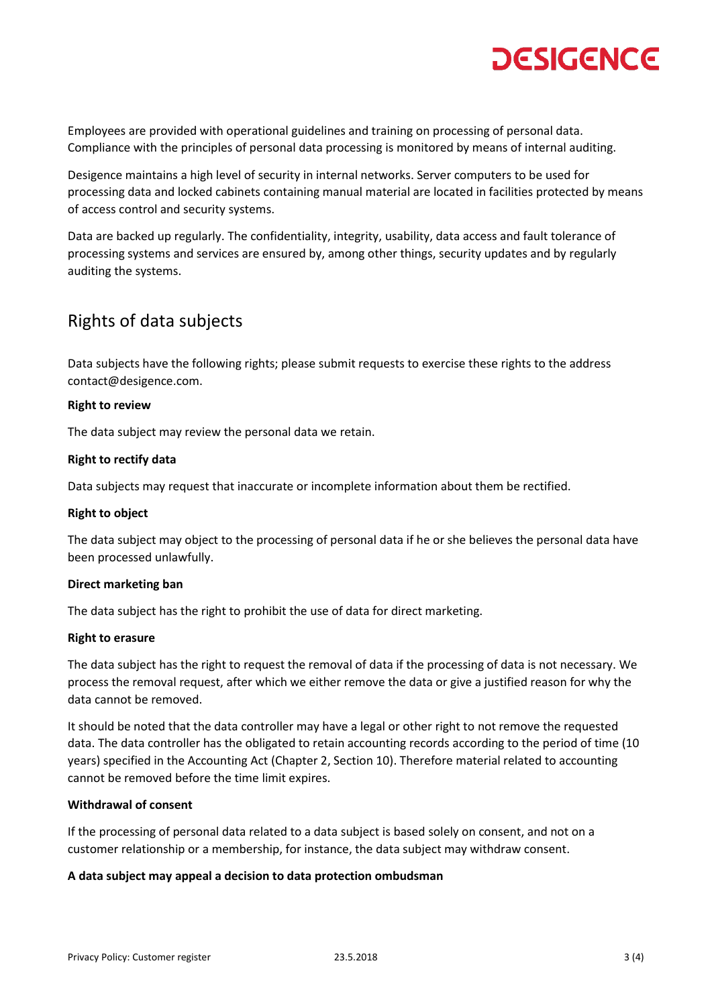Employees are provided with operational guidelines and training on processing of personal data. Compliance with the principles of personal data processing is monitored by means of internal auditing.

Desigence maintains a high level of security in internal networks. Server computers to be used for processing data and locked cabinets containing manual material are located in facilities protected by means of access control and security systems.

Data are backed up regularly. The confidentiality, integrity, usability, data access and fault tolerance of processing systems and services are ensured by, among other things, security updates and by regularly auditing the systems.

### Rights of data subjects

Data subjects have the following rights; please submit requests to exercise these rights to the address contact@desigence.com.

### **Right to review**

The data subject may review the personal data we retain.

### **Right to rectify data**

Data subjects may request that inaccurate or incomplete information about them be rectified.

### **Right to object**

The data subject may object to the processing of personal data if he or she believes the personal data have been processed unlawfully.

### **Direct marketing ban**

The data subject has the right to prohibit the use of data for direct marketing.

### **Right to erasure**

The data subject has the right to request the removal of data if the processing of data is not necessary. We process the removal request, after which we either remove the data or give a justified reason for why the data cannot be removed.

It should be noted that the data controller may have a legal or other right to not remove the requested data. The data controller has the obligated to retain accounting records according to the period of time (10 years) specified in the Accounting Act (Chapter 2, Section 10). Therefore material related to accounting cannot be removed before the time limit expires.

### **Withdrawal of consent**

If the processing of personal data related to a data subject is based solely on consent, and not on a customer relationship or a membership, for instance, the data subject may withdraw consent.

### **A data subject may appeal a decision to data protection ombudsman**